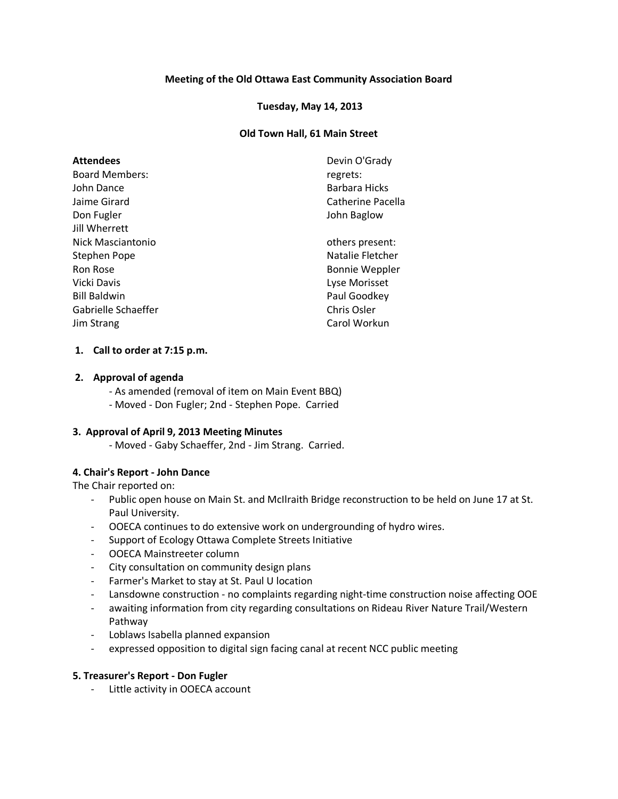# **Meeting of the Old Ottawa East Community Association Board**

### **Tuesday, May 14, 2013**

### **Old Town Hall, 61 Main Street**

| <b>Attendees</b><br><b>Board Members:</b><br>John Dance<br>Jaime Girard<br>Don Fugler<br><b>Jill Wherrett</b> | Devin O'Grady<br>regrets:<br>Barbara Hicks<br>Catherine Pacella<br>John Baglow |
|---------------------------------------------------------------------------------------------------------------|--------------------------------------------------------------------------------|
| Nick Masciantonio                                                                                             | others present:                                                                |
| Stephen Pope                                                                                                  | Natalie Fletcher                                                               |
| Ron Rose<br>Vicki Davis                                                                                       | <b>Bonnie Weppler</b>                                                          |
| <b>Bill Baldwin</b>                                                                                           | Lyse Morisset<br>Paul Goodkey                                                  |
| Gabrielle Schaeffer                                                                                           | Chris Osler                                                                    |
| Jim Strang                                                                                                    | Carol Workun                                                                   |

#### **1. Call to order at 7:15 p.m.**

#### **2. Approval of agenda**

- As amended (removal of item on Main Event BBQ)

- Moved - Don Fugler; 2nd - Stephen Pope. Carried

### **3. Approval of April 9, 2013 Meeting Minutes**

- Moved - Gaby Schaeffer, 2nd - Jim Strang. Carried.

# **4. Chair's Report - John Dance**

The Chair reported on:

- Public open house on Main St. and McIlraith Bridge reconstruction to be held on June 17 at St. Paul University.
- OOECA continues to do extensive work on undergrounding of hydro wires.
- Support of Ecology Ottawa Complete Streets Initiative
- OOECA Mainstreeter column
- City consultation on community design plans
- Farmer's Market to stay at St. Paul U location
- Lansdowne construction no complaints regarding night-time construction noise affecting OOE
- awaiting information from city regarding consultations on Rideau River Nature Trail/Western Pathway
- Loblaws Isabella planned expansion
- expressed opposition to digital sign facing canal at recent NCC public meeting

#### **5. Treasurer's Report - Don Fugler**

- Little activity in OOECA account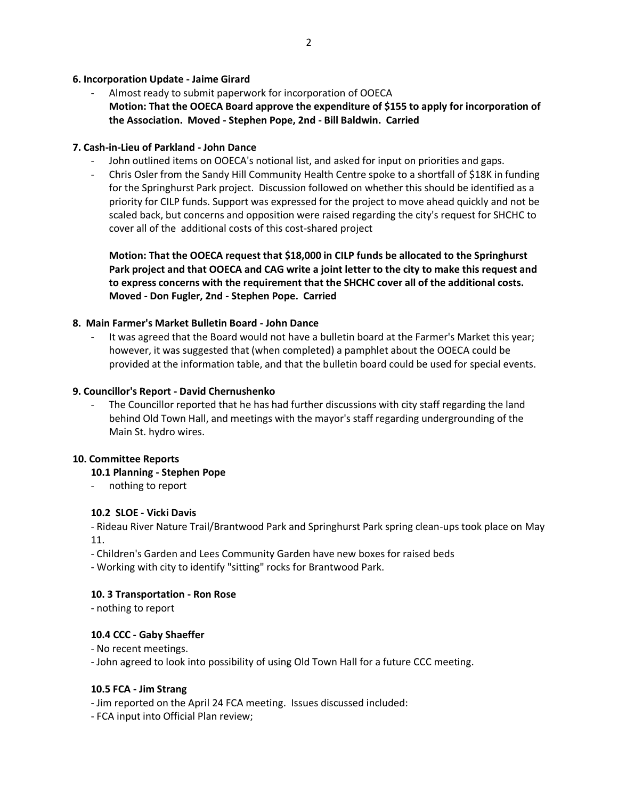### **6. Incorporation Update - Jaime Girard**

Almost ready to submit paperwork for incorporation of OOECA **Motion: That the OOECA Board approve the expenditure of \$155 to apply for incorporation of the Association. Moved - Stephen Pope, 2nd - Bill Baldwin. Carried**

### **7. Cash-in-Lieu of Parkland - John Dance**

- John outlined items on OOECA's notional list, and asked for input on priorities and gaps.
- Chris Osler from the Sandy Hill Community Health Centre spoke to a shortfall of \$18K in funding for the Springhurst Park project. Discussion followed on whether this should be identified as a priority for CILP funds. Support was expressed for the project to move ahead quickly and not be scaled back, but concerns and opposition were raised regarding the city's request for SHCHC to cover all of the additional costs of this cost-shared project

**Motion: That the OOECA request that \$18,000 in CILP funds be allocated to the Springhurst Park project and that OOECA and CAG write a joint letter to the city to make this request and to express concerns with the requirement that the SHCHC cover all of the additional costs. Moved - Don Fugler, 2nd - Stephen Pope. Carried**

### **8. Main Farmer's Market Bulletin Board - John Dance**

It was agreed that the Board would not have a bulletin board at the Farmer's Market this year; however, it was suggested that (when completed) a pamphlet about the OOECA could be provided at the information table, and that the bulletin board could be used for special events.

#### **9. Councillor's Report - David Chernushenko**

The Councillor reported that he has had further discussions with city staff regarding the land behind Old Town Hall, and meetings with the mayor's staff regarding undergrounding of the Main St. hydro wires.

#### **10. Committee Reports**

#### **10.1 Planning - Stephen Pope**

- nothing to report

#### **10.2 SLOE - Vicki Davis**

- Rideau River Nature Trail/Brantwood Park and Springhurst Park spring clean-ups took place on May 11.

- Children's Garden and Lees Community Garden have new boxes for raised beds
- Working with city to identify "sitting" rocks for Brantwood Park.

### **10. 3 Transportation - Ron Rose**

- nothing to report

# **10.4 CCC - Gaby Shaeffer**

- No recent meetings.

- John agreed to look into possibility of using Old Town Hall for a future CCC meeting.

#### **10.5 FCA - Jim Strang**

- Jim reported on the April 24 FCA meeting. Issues discussed included:

- FCA input into Official Plan review;